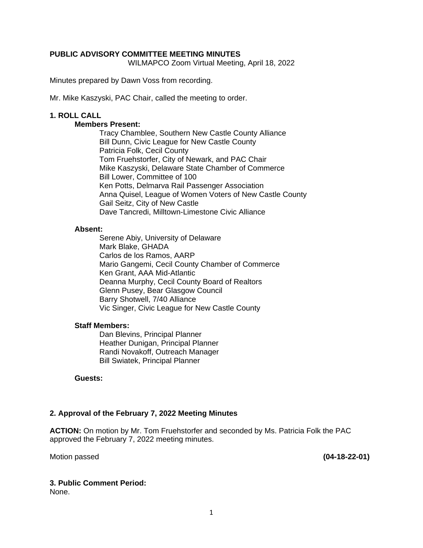## **PUBLIC ADVISORY COMMITTEE MEETING MINUTES**

WILMAPCO Zoom Virtual Meeting, April 18, 2022

Minutes prepared by Dawn Voss from recording.

Mr. Mike Kaszyski, PAC Chair, called the meeting to order.

## **1. ROLL CALL**

#### **Members Present:**

Tracy Chamblee, Southern New Castle County Alliance Bill Dunn, Civic League for New Castle County Patricia Folk, Cecil County Tom Fruehstorfer, City of Newark, and PAC Chair Mike Kaszyski, Delaware State Chamber of Commerce Bill Lower, Committee of 100 Ken Potts, Delmarva Rail Passenger Association Anna Quisel, League of Women Voters of New Castle County Gail Seitz, City of New Castle Dave Tancredi, Milltown-Limestone Civic Alliance

#### **Absent:**

Serene Abiy, University of Delaware Mark Blake, GHADA Carlos de los Ramos, AARP Mario Gangemi, Cecil County Chamber of Commerce Ken Grant, AAA Mid-Atlantic Deanna Murphy, Cecil County Board of Realtors Glenn Pusey, Bear Glasgow Council Barry Shotwell, 7/40 Alliance Vic Singer, Civic League for New Castle County

#### **Staff Members:**

Dan Blevins, Principal Planner Heather Dunigan, Principal Planner Randi Novakoff, Outreach Manager Bill Swiatek, Principal Planner

#### **Guests:**

#### **2. Approval of the February 7, 2022 Meeting Minutes**

**ACTION:** On motion by Mr. Tom Fruehstorfer and seconded by Ms. Patricia Folk the PAC approved the February 7, 2022 meeting minutes.

Motion passed **(04-18-22-01)** 

# **3. Public Comment Period:**

None.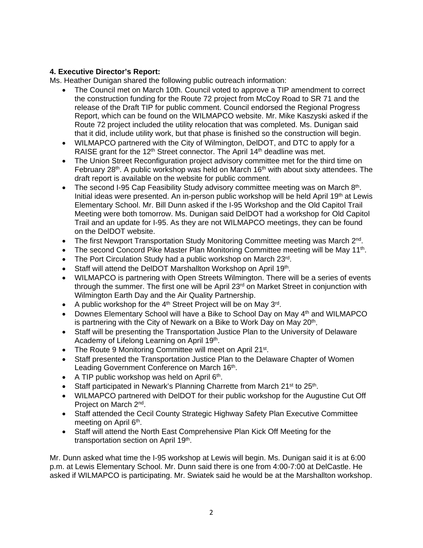# **4. Executive Director's Report:**

Ms. Heather Dunigan shared the following public outreach information:

- The Council met on March 10th. Council voted to approve a TIP amendment to correct the construction funding for the Route 72 project from McCoy Road to SR 71 and the release of the Draft TIP for public comment. Council endorsed the Regional Progress Report, which can be found on the WILMAPCO website. Mr. Mike Kaszyski asked if the Route 72 project included the utility relocation that was completed. Ms. Dunigan said that it did, include utility work, but that phase is finished so the construction will begin.
- WILMAPCO partnered with the City of Wilmington, DelDOT, and DTC to apply for a RAISE grant for the 12<sup>th</sup> Street connector. The April 14<sup>th</sup> deadline was met.
- The Union Street Reconfiguration project advisory committee met for the third time on February  $28<sup>th</sup>$ . A public workshop was held on March  $16<sup>th</sup>$  with about sixty attendees. The draft report is available on the website for public comment.
- The second I-95 Cap Feasibility Study advisory committee meeting was on March  $8<sup>th</sup>$ . Initial ideas were presented. An in-person public workshop will be held April 19<sup>th</sup> at Lewis Elementary School. Mr. Bill Dunn asked if the I-95 Workshop and the Old Capitol Trail Meeting were both tomorrow. Ms. Dunigan said DelDOT had a workshop for Old Capitol Trail and an update for I-95. As they are not WILMAPCO meetings, they can be found on the DelDOT website.
- The first Newport Transportation Study Monitoring Committee meeting was March  $2^{nd}$ .
- The second Concord Pike Master Plan Monitoring Committee meeting will be May 11<sup>th</sup>.
- The Port Circulation Study had a public workshop on March 23rd.
- Staff will attend the DelDOT Marshallton Workshop on April 19th.
- WILMAPCO is partnering with Open Streets Wilmington. There will be a series of events through the summer. The first one will be April 23<sup>rd</sup> on Market Street in conjunction with Wilmington Earth Day and the Air Quality Partnership.
- A public workshop for the  $4<sup>th</sup>$  Street Project will be on May  $3<sup>rd</sup>$ .
- Downes Elementary School will have a Bike to School Day on May 4th and WILMAPCO is partnering with the City of Newark on a Bike to Work Day on May 20<sup>th</sup>.
- Staff will be presenting the Transportation Justice Plan to the University of Delaware Academy of Lifelong Learning on April 19<sup>th</sup>.
- The Route 9 Monitoring Committee will meet on April 21<sup>st</sup>.
- Staff presented the Transportation Justice Plan to the Delaware Chapter of Women Leading Government Conference on March 16<sup>th</sup>.
- $\bullet$  A TIP public workshop was held on April 6<sup>th</sup>.
- Staff participated in Newark's Planning Charrette from March 21<sup>st</sup> to 25<sup>th</sup>.
- WILMAPCO partnered with DelDOT for their public workshop for the Augustine Cut Off Project on March 2nd.
- Staff attended the Cecil County Strategic Highway Safety Plan Executive Committee meeting on April 6<sup>th</sup>.
- Staff will attend the North East Comprehensive Plan Kick Off Meeting for the transportation section on April 19<sup>th</sup>.

Mr. Dunn asked what time the I-95 workshop at Lewis will begin. Ms. Dunigan said it is at 6:00 p.m. at Lewis Elementary School. Mr. Dunn said there is one from 4:00-7:00 at DelCastle. He asked if WILMAPCO is participating. Mr. Swiatek said he would be at the Marshallton workshop.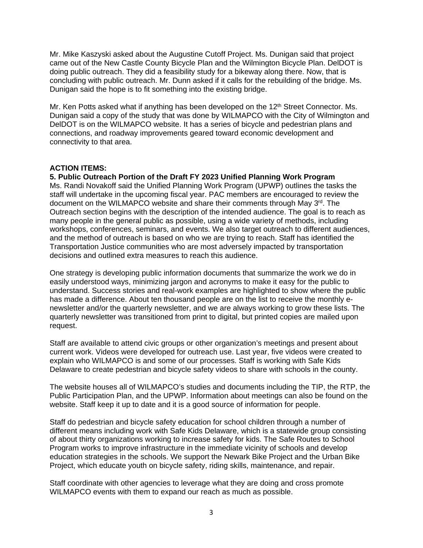Mr. Mike Kaszyski asked about the Augustine Cutoff Project. Ms. Dunigan said that project came out of the New Castle County Bicycle Plan and the Wilmington Bicycle Plan. DelDOT is doing public outreach. They did a feasibility study for a bikeway along there. Now, that is concluding with public outreach. Mr. Dunn asked if it calls for the rebuilding of the bridge. Ms. Dunigan said the hope is to fit something into the existing bridge.

Mr. Ken Potts asked what if anything has been developed on the  $12<sup>th</sup>$  Street Connector. Ms. Dunigan said a copy of the study that was done by WILMAPCO with the City of Wilmington and DelDOT is on the WILMAPCO website. It has a series of bicycle and pedestrian plans and connections, and roadway improvements geared toward economic development and connectivity to that area.

#### **ACTION ITEMS:**

## **5. Public Outreach Portion of the Draft FY 2023 Unified Planning Work Program**

Ms. Randi Novakoff said the Unified Planning Work Program (UPWP) outlines the tasks the staff will undertake in the upcoming fiscal year. PAC members are encouraged to review the document on the WILMAPCO website and share their comments through May 3<sup>rd</sup>. The Outreach section begins with the description of the intended audience. The goal is to reach as many people in the general public as possible, using a wide variety of methods, including workshops, conferences, seminars, and events. We also target outreach to different audiences, and the method of outreach is based on who we are trying to reach. Staff has identified the Transportation Justice communities who are most adversely impacted by transportation decisions and outlined extra measures to reach this audience.

One strategy is developing public information documents that summarize the work we do in easily understood ways, minimizing jargon and acronyms to make it easy for the public to understand. Success stories and real-work examples are highlighted to show where the public has made a difference. About ten thousand people are on the list to receive the monthly enewsletter and/or the quarterly newsletter, and we are always working to grow these lists. The quarterly newsletter was transitioned from print to digital, but printed copies are mailed upon request.

Staff are available to attend civic groups or other organization's meetings and present about current work. Videos were developed for outreach use. Last year, five videos were created to explain who WILMAPCO is and some of our processes. Staff is working with Safe Kids Delaware to create pedestrian and bicycle safety videos to share with schools in the county.

The website houses all of WILMAPCO's studies and documents including the TIP, the RTP, the Public Participation Plan, and the UPWP. Information about meetings can also be found on the website. Staff keep it up to date and it is a good source of information for people.

Staff do pedestrian and bicycle safety education for school children through a number of different means including work with Safe Kids Delaware, which is a statewide group consisting of about thirty organizations working to increase safety for kids. The Safe Routes to School Program works to improve infrastructure in the immediate vicinity of schools and develop education strategies in the schools. We support the Newark Bike Project and the Urban Bike Project, which educate youth on bicycle safety, riding skills, maintenance, and repair.

Staff coordinate with other agencies to leverage what they are doing and cross promote WILMAPCO events with them to expand our reach as much as possible.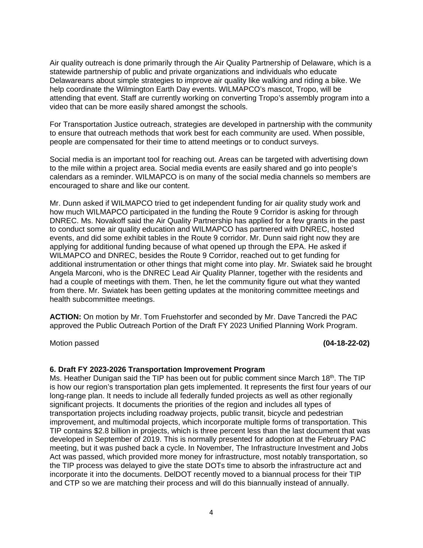Air quality outreach is done primarily through the Air Quality Partnership of Delaware, which is a statewide partnership of public and private organizations and individuals who educate Delawareans about simple strategies to improve air quality like walking and riding a bike. We help coordinate the Wilmington Earth Day events. WILMAPCO's mascot, Tropo, will be attending that event. Staff are currently working on converting Tropo's assembly program into a video that can be more easily shared amongst the schools.

For Transportation Justice outreach, strategies are developed in partnership with the community to ensure that outreach methods that work best for each community are used. When possible, people are compensated for their time to attend meetings or to conduct surveys.

Social media is an important tool for reaching out. Areas can be targeted with advertising down to the mile within a project area. Social media events are easily shared and go into people's calendars as a reminder. WILMAPCO is on many of the social media channels so members are encouraged to share and like our content.

Mr. Dunn asked if WILMAPCO tried to get independent funding for air quality study work and how much WILMAPCO participated in the funding the Route 9 Corridor is asking for through DNREC. Ms. Novakoff said the Air Quality Partnership has applied for a few grants in the past to conduct some air quality education and WILMAPCO has partnered with DNREC, hosted events, and did some exhibit tables in the Route 9 corridor. Mr. Dunn said right now they are applying for additional funding because of what opened up through the EPA. He asked if WILMAPCO and DNREC, besides the Route 9 Corridor, reached out to get funding for additional instrumentation or other things that might come into play. Mr. Swiatek said he brought Angela Marconi, who is the DNREC Lead Air Quality Planner, together with the residents and had a couple of meetings with them. Then, he let the community figure out what they wanted from there. Mr. Swiatek has been getting updates at the monitoring committee meetings and health subcommittee meetings.

**ACTION:** On motion by Mr. Tom Fruehstorfer and seconded by Mr. Dave Tancredi the PAC approved the Public Outreach Portion of the Draft FY 2023 Unified Planning Work Program.

Motion passed **(04-18-22-02)** 

#### **6. Draft FY 2023-2026 Transportation Improvement Program**

Ms. Heather Dunigan said the TIP has been out for public comment since March 18th. The TIP is how our region's transportation plan gets implemented. It represents the first four years of our long-range plan. It needs to include all federally funded projects as well as other regionally significant projects. It documents the priorities of the region and includes all types of transportation projects including roadway projects, public transit, bicycle and pedestrian improvement, and multimodal projects, which incorporate multiple forms of transportation. This TIP contains \$2.8 billion in projects, which is three percent less than the last document that was developed in September of 2019. This is normally presented for adoption at the February PAC meeting, but it was pushed back a cycle. In November, The Infrastructure Investment and Jobs Act was passed, which provided more money for infrastructure, most notably transportation, so the TIP process was delayed to give the state DOTs time to absorb the infrastructure act and incorporate it into the documents. DelDOT recently moved to a biannual process for their TIP and CTP so we are matching their process and will do this biannually instead of annually.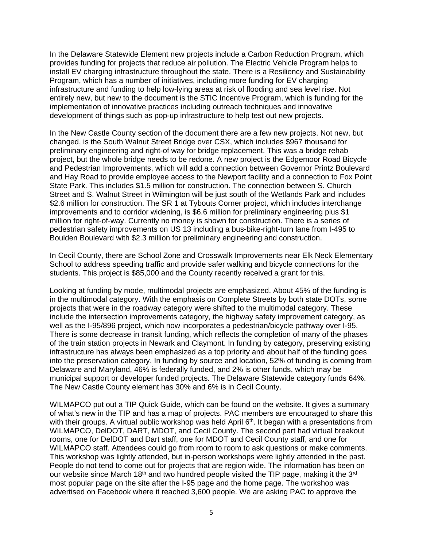In the Delaware Statewide Element new projects include a Carbon Reduction Program, which provides funding for projects that reduce air pollution. The Electric Vehicle Program helps to install EV charging infrastructure throughout the state. There is a Resiliency and Sustainability Program, which has a number of initiatives, including more funding for EV charging infrastructure and funding to help low-lying areas at risk of flooding and sea level rise. Not entirely new, but new to the document is the STIC Incentive Program, which is funding for the implementation of innovative practices including outreach techniques and innovative development of things such as pop-up infrastructure to help test out new projects.

In the New Castle County section of the document there are a few new projects. Not new, but changed, is the South Walnut Street Bridge over CSX, which includes \$967 thousand for preliminary engineering and right-of way for bridge replacement. This was a bridge rehab project, but the whole bridge needs to be redone. A new project is the Edgemoor Road Bicycle and Pedestrian Improvements, which will add a connection between Governor Printz Boulevard and Hay Road to provide employee access to the Newport facility and a connection to Fox Point State Park. This includes \$1.5 million for construction. The connection between S. Church Street and S. Walnut Street in Wilmington will be just south of the Wetlands Park and includes \$2.6 million for construction. The SR 1 at Tybouts Corner project, which includes interchange improvements and to corridor widening, is \$6.6 million for preliminary engineering plus \$1 million for right-of-way. Currently no money is shown for construction. There is a series of pedestrian safety improvements on US 13 including a bus-bike-right-turn lane from I-495 to Boulden Boulevard with \$2.3 million for preliminary engineering and construction.

In Cecil County, there are School Zone and Crosswalk Improvements near Elk Neck Elementary School to address speeding traffic and provide safer walking and bicycle connections for the students. This project is \$85,000 and the County recently received a grant for this.

Looking at funding by mode, multimodal projects are emphasized. About 45% of the funding is in the multimodal category. With the emphasis on Complete Streets by both state DOTs, some projects that were in the roadway category were shifted to the multimodal category. These include the intersection improvements category, the highway safety improvement category, as well as the I-95/896 project, which now incorporates a pedestrian/bicycle pathway over I-95. There is some decrease in transit funding, which reflects the completion of many of the phases of the train station projects in Newark and Claymont. In funding by category, preserving existing infrastructure has always been emphasized as a top priority and about half of the funding goes into the preservation category. In funding by source and location, 52% of funding is coming from Delaware and Maryland, 46% is federally funded, and 2% is other funds, which may be municipal support or developer funded projects. The Delaware Statewide category funds 64%. The New Castle County element has 30% and 6% is in Cecil County.

WILMAPCO put out a TIP Quick Guide, which can be found on the website. It gives a summary of what's new in the TIP and has a map of projects. PAC members are encouraged to share this with their groups. A virtual public workshop was held April 6<sup>th</sup>. It began with a presentations from WILMAPCO, DelDOT, DART, MDOT, and Cecil County. The second part had virtual breakout rooms, one for DelDOT and Dart staff, one for MDOT and Cecil County staff, and one for WILMAPCO staff. Attendees could go from room to room to ask questions or make comments. This workshop was lightly attended, but in-person workshops were lightly attended in the past. People do not tend to come out for projects that are region wide. The information has been on our website since March 18<sup>th</sup> and two hundred people visited the TIP page, making it the 3<sup>rd</sup> most popular page on the site after the I-95 page and the home page. The workshop was advertised on Facebook where it reached 3,600 people. We are asking PAC to approve the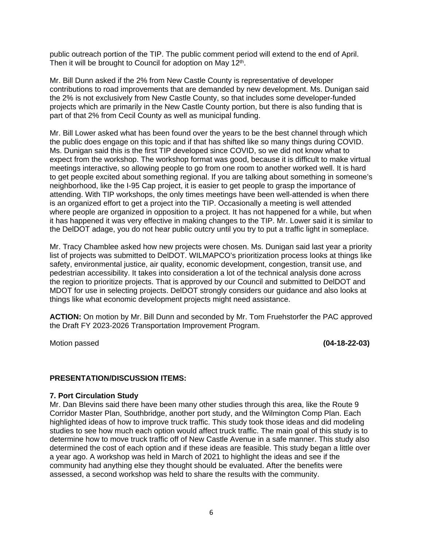public outreach portion of the TIP. The public comment period will extend to the end of April. Then it will be brought to Council for adoption on May 12<sup>th</sup>.

Mr. Bill Dunn asked if the 2% from New Castle County is representative of developer contributions to road improvements that are demanded by new development. Ms. Dunigan said the 2% is not exclusively from New Castle County, so that includes some developer-funded projects which are primarily in the New Castle County portion, but there is also funding that is part of that 2% from Cecil County as well as municipal funding.

Mr. Bill Lower asked what has been found over the years to be the best channel through which the public does engage on this topic and if that has shifted like so many things during COVID. Ms. Dunigan said this is the first TIP developed since COVID, so we did not know what to expect from the workshop. The workshop format was good, because it is difficult to make virtual meetings interactive, so allowing people to go from one room to another worked well. It is hard to get people excited about something regional. If you are talking about something in someone's neighborhood, like the I-95 Cap project, it is easier to get people to grasp the importance of attending. With TIP workshops, the only times meetings have been well-attended is when there is an organized effort to get a project into the TIP. Occasionally a meeting is well attended where people are organized in opposition to a project. It has not happened for a while, but when it has happened it was very effective in making changes to the TIP. Mr. Lower said it is similar to the DelDOT adage, you do not hear public outcry until you try to put a traffic light in someplace.

Mr. Tracy Chamblee asked how new projects were chosen. Ms. Dunigan said last year a priority list of projects was submitted to DelDOT. WILMAPCO's prioritization process looks at things like safety, environmental justice, air quality, economic development, congestion, transit use, and pedestrian accessibility. It takes into consideration a lot of the technical analysis done across the region to prioritize projects. That is approved by our Council and submitted to DelDOT and MDOT for use in selecting projects. DelDOT strongly considers our guidance and also looks at things like what economic development projects might need assistance.

**ACTION:** On motion by Mr. Bill Dunn and seconded by Mr. Tom Fruehstorfer the PAC approved the Draft FY 2023-2026 Transportation Improvement Program.

Motion passed **(04-18-22-03)**

## **PRESENTATION/DISCUSSION ITEMS:**

#### **7. Port Circulation Study**

Mr. Dan Blevins said there have been many other studies through this area, like the Route 9 Corridor Master Plan, Southbridge, another port study, and the Wilmington Comp Plan. Each highlighted ideas of how to improve truck traffic. This study took those ideas and did modeling studies to see how much each option would affect truck traffic. The main goal of this study is to determine how to move truck traffic off of New Castle Avenue in a safe manner. This study also determined the cost of each option and if these ideas are feasible. This study began a little over a year ago. A workshop was held in March of 2021 to highlight the ideas and see if the community had anything else they thought should be evaluated. After the benefits were assessed, a second workshop was held to share the results with the community.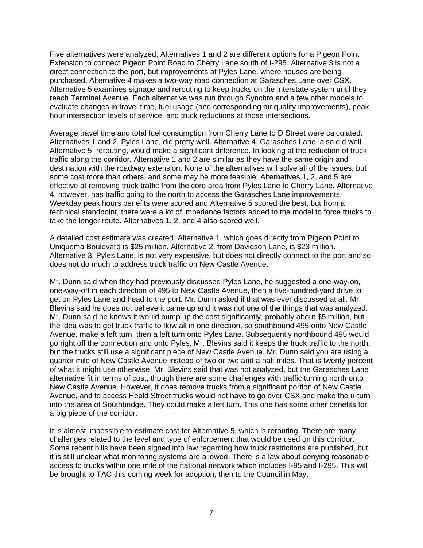Five alternatives were analyzed. Alternatives 1 and 2 are different options for a Pigeon Point Extension to connect Pigeon Point Road to Cherry Lane south of I-295. Alternative 3 is not a direct connection to the port, but improvements at Pyles Lane, where houses are being purchased. Alternative 4 makes a two-way road connection at Garasches Lane over CSX. Alternative 5 examines signage and rerouting to keep trucks on the interstate system until they reach Terminal Avenue. Each alternative was run through Synchro and a few other models to evaluate changes in travel time, fuel usage (and corresponding air quality improvements), peak hour intersection levels of service, and truck reductions at those intersections.

Average travel time and total fuel consumption from Cherry Lane to D Street were calculated. Alternatives 1 and 2, Pyles Lane, did pretty well. Alternative 4, Garasches Lane, also did well. Alternative 5, rerouting, would make a significant difference. In looking at the reduction of truck traffic along the corridor, Alternative 1 and 2 are similar as they have the same origin and destination with the roadway extension. None of the alternatives will solve all of the issues, but some cost more than others, and some may be more feasible. Alternatives 1, 2, and 5 are effective at removing truck traffic from the core area from Pyles Lane to Cherry Lane. Alternative 4, however, has traffic going to the north to access the Garasches Lane improvements. Weekday peak hours benefits were scored and Alternative 5 scored the best, but from a technical standpoint, there were a lot of impedance factors added to the model to force trucks to take the longer route. Alternatives 1, 2, and 4 also scored well.

A detailed cost estimate was created. Alternative 1, which goes directly from Pigeon Point to Uniquema Boulevard is \$25 million. Alternative 2, from Davidson Lane, is \$23 million. Alternative 3, Pyles Lane, is not very expensive, but does not directly connect to the port and so does not do much to address truck traffic on New Castle Avenue.

Mr. Dunn said when they had previously discussed Pyles Lane, he suggested a one-way-on, one-way-off in each direction of 495 to New Castle Avenue, then a five-hundred-yard drive to get on Pyles Lane and head to the port. Mr. Dunn asked if that was ever discussed at all. Mr. Blevins said he does not believe it came up and it was not one of the things that was analyzed. Mr. Dunn said he knows it would bump up the cost significantly, probably about \$5 million, but the idea was to get truck traffic to flow all in one direction, so southbound 495 onto New Castle Avenue, make a left turn, then a left turn onto Pyles Lane. Subsequently northbound 495 would go right off the connection and onto Pyles. Mr. Blevins said it keeps the truck traffic to the north, but the trucks still use a significant piece of New Castle Avenue. Mr. Dunn said you are using a quarter mile of New Castle Avenue instead of two or two and a half miles. That is twenty percent of what it might use otherwise. Mr. Blevins said that was not analyzed, but the Garasches Lane alternative fit in terms of cost, though there are some challenges with traffic turning north onto New Castle Avenue. However, it does remove trucks from a significant portion of New Castle Avenue, and to access Heald Street trucks would not have to go over CSX and make the u-turn into the area of Southbridge. They could make a left turn. This one has some other benefits for a big piece of the corridor.

It is almost impossible to estimate cost for Alternative 5, which is rerouting. There are many challenges related to the level and type of enforcement that would be used on this corridor. Some recent bills have been signed into law regarding how truck restrictions are published, but it is still unclear what monitoring systems are allowed. There is a law about denying reasonable access to trucks within one mile of the national network which includes I-95 and I-295. This will be brought to TAC this coming week for adoption, then to the Council in May.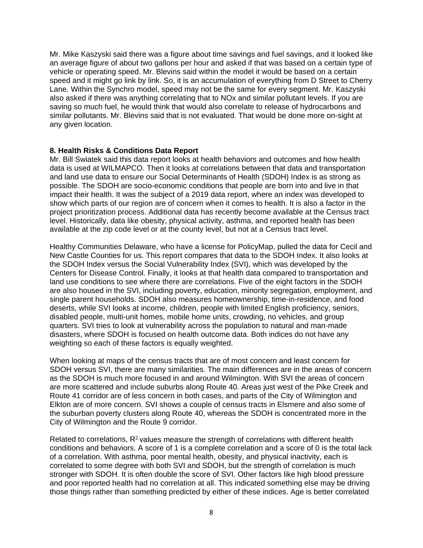Mr. Mike Kaszyski said there was a figure about time savings and fuel savings, and it looked like an average figure of about two gallons per hour and asked if that was based on a certain type of vehicle or operating speed. Mr. Blevins said within the model it would be based on a certain speed and it might go link by link. So, it is an accumulation of everything from D Street to Cherry Lane. Within the Synchro model, speed may not be the same for every segment. Mr. Kaszyski also asked if there was anything correlating that to NOx and similar pollutant levels. If you are saving so much fuel, he would think that would also correlate to release of hydrocarbons and similar pollutants. Mr. Blevins said that is not evaluated. That would be done more on-sight at any given location.

## **8. Health Risks & Conditions Data Report**

Mr. Bill Swiatek said this data report looks at health behaviors and outcomes and how health data is used at WILMAPCO. Then it looks at correlations between that data and transportation and land use data to ensure our Social Determinants of Health (SDOH) Index is as strong as possible. The SDOH are socio-economic conditions that people are born into and live in that impact their health. It was the subject of a 2019 data report, where an index was developed to show which parts of our region are of concern when it comes to health. It is also a factor in the project prioritization process. Additional data has recently become available at the Census tract level. Historically, data like obesity, physical activity, asthma, and reported health has been available at the zip code level or at the county level, but not at a Census tract level.

Healthy Communities Delaware, who have a license for PolicyMap, pulled the data for Cecil and New Castle Counties for us. This report compares that data to the SDOH Index. It also looks at the SDOH Index versus the Social Vulnerability Index (SVI), which was developed by the Centers for Disease Control. Finally, it looks at that health data compared to transportation and land use conditions to see where there are correlations. Five of the eight factors in the SDOH are also housed in the SVI, including poverty, education, minority segregation, employment, and single parent households. SDOH also measures homeownership, time-in-residence, and food deserts, while SVI looks at income, children, people with limited English proficiency, seniors, disabled people, multi-unit homes, mobile home units, crowding, no vehicles, and group quarters. SVI tries to look at vulnerability across the population to natural and man-made disasters, where SDOH is focused on health outcome data. Both indices do not have any weighting so each of these factors is equally weighted.

When looking at maps of the census tracts that are of most concern and least concern for SDOH versus SVI, there are many similarities. The main differences are in the areas of concern as the SDOH is much more focused in and around Wilmington. With SVI the areas of concern are more scattered and include suburbs along Route 40. Areas just west of the Pike Creek and Route 41 corridor are of less concern in both cases, and parts of the City of Wilmington and Elkton are of more concern. SVI shows a couple of census tracts in Elsmere and also some of the suburban poverty clusters along Route 40, whereas the SDOH is concentrated more in the City of Wilmington and the Route 9 corridor.

Related to correlations,  $R<sup>2</sup>$  values measure the strength of correlations with different health conditions and behaviors. A score of 1 is a complete correlation and a score of 0 is the total lack of a correlation. With asthma, poor mental health, obesity, and physical inactivity, each is correlated to some degree with both SVI and SDOH, but the strength of correlation is much stronger with SDOH. It is often double the score of SVI. Other factors like high blood pressure and poor reported health had no correlation at all. This indicated something else may be driving those things rather than something predicted by either of these indices. Age is better correlated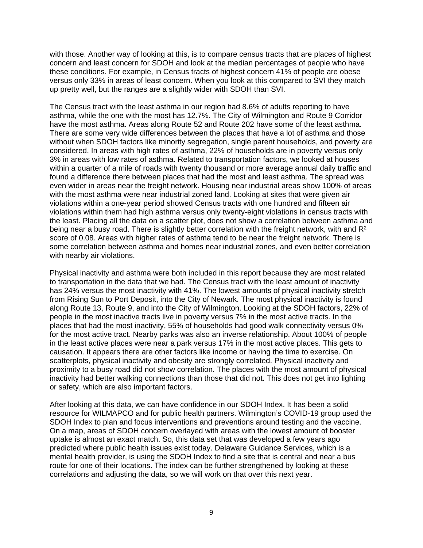with those. Another way of looking at this, is to compare census tracts that are places of highest concern and least concern for SDOH and look at the median percentages of people who have these conditions. For example, in Census tracts of highest concern 41% of people are obese versus only 33% in areas of least concern. When you look at this compared to SVI they match up pretty well, but the ranges are a slightly wider with SDOH than SVI.

The Census tract with the least asthma in our region had 8.6% of adults reporting to have asthma, while the one with the most has 12.7%. The City of Wilmington and Route 9 Corridor have the most asthma. Areas along Route 52 and Route 202 have some of the least asthma. There are some very wide differences between the places that have a lot of asthma and those without when SDOH factors like minority segregation, single parent households, and poverty are considered. In areas with high rates of asthma, 22% of households are in poverty versus only 3% in areas with low rates of asthma. Related to transportation factors, we looked at houses within a quarter of a mile of roads with twenty thousand or more average annual daily traffic and found a difference there between places that had the most and least asthma. The spread was even wider in areas near the freight network. Housing near industrial areas show 100% of areas with the most asthma were near industrial zoned land. Looking at sites that were given air violations within a one-year period showed Census tracts with one hundred and fifteen air violations within them had high asthma versus only twenty-eight violations in census tracts with the least. Placing all the data on a scatter plot, does not show a correlation between asthma and being near a busy road. There is slightly better correlation with the freight network, with and  $R^2$ score of 0.08. Areas with higher rates of asthma tend to be near the freight network. There is some correlation between asthma and homes near industrial zones, and even better correlation with nearby air violations.

Physical inactivity and asthma were both included in this report because they are most related to transportation in the data that we had. The Census tract with the least amount of inactivity has 24% versus the most inactivity with 41%. The lowest amounts of physical inactivity stretch from Rising Sun to Port Deposit, into the City of Newark. The most physical inactivity is found along Route 13, Route 9, and into the City of Wilmington. Looking at the SDOH factors, 22% of people in the most inactive tracts live in poverty versus 7% in the most active tracts. In the places that had the most inactivity, 55% of households had good walk connectivity versus 0% for the most active tract. Nearby parks was also an inverse relationship. About 100% of people in the least active places were near a park versus 17% in the most active places. This gets to causation. It appears there are other factors like income or having the time to exercise. On scatterplots, physical inactivity and obesity are strongly correlated. Physical inactivity and proximity to a busy road did not show correlation. The places with the most amount of physical inactivity had better walking connections than those that did not. This does not get into lighting or safety, which are also important factors.

After looking at this data, we can have confidence in our SDOH Index. It has been a solid resource for WILMAPCO and for public health partners. Wilmington's COVID-19 group used the SDOH Index to plan and focus interventions and preventions around testing and the vaccine. On a map, areas of SDOH concern overlayed with areas with the lowest amount of booster uptake is almost an exact match. So, this data set that was developed a few years ago predicted where public health issues exist today. Delaware Guidance Services, which is a mental health provider, is using the SDOH Index to find a site that is central and near a bus route for one of their locations. The index can be further strengthened by looking at these correlations and adjusting the data, so we will work on that over this next year.